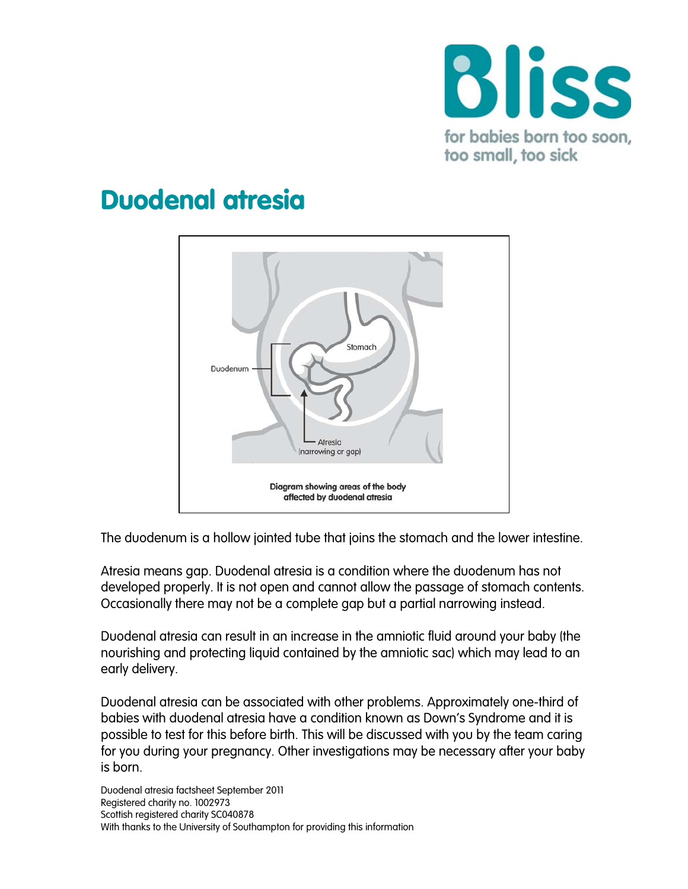

# Duodenal atresia



The duodenum is a hollow jointed tube that joins the stomach and the lower intestine.

Atresia means gap. Duodenal atresia is a condition where the duodenum has not developed properly. It is not open and cannot allow the passage of stomach contents. Occasionally there may not be a complete gap but a partial narrowing instead.

Duodenal atresia can result in an increase in the amniotic fluid around your baby (the nourishing and protecting liquid contained by the [amniotic sac\)](http://en.wikipedia.org/wiki/Amniotic_sac) which may lead to an early delivery.

Duodenal atresia can be associated with other problems. Approximately one-third of babies with duodenal atresia have a condition known as Down's Syndrome and it is possible to test for this before birth. This will be discussed with you by the team caring for you during your pregnancy. Other investigations may be necessary after your baby is born.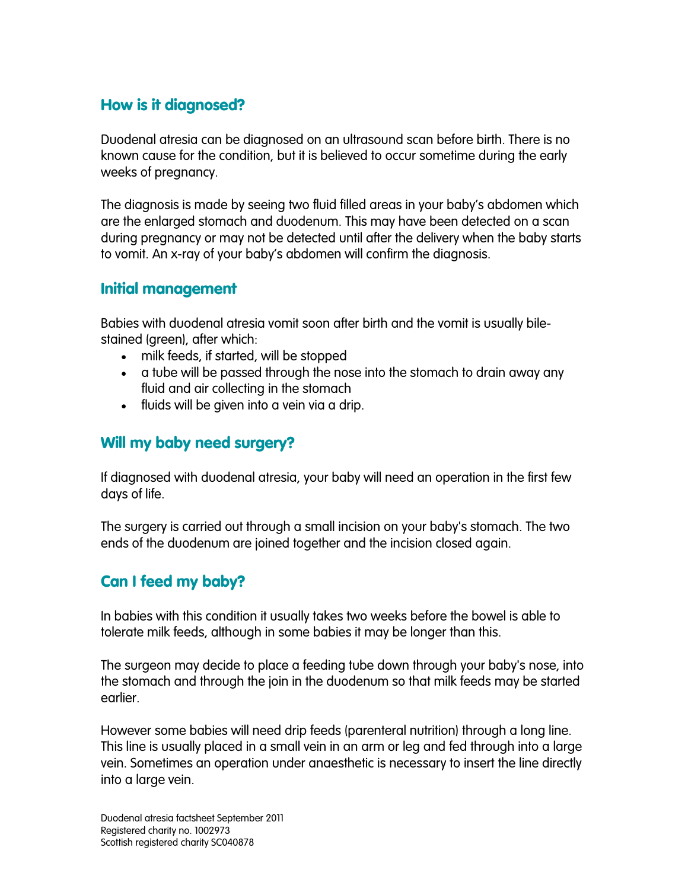## How is it diagnosed?

Duodenal atresia can be diagnosed on an ultrasound scan before birth. There is no known cause for the condition, but it is believed to occur sometime during the early weeks of pregnancy.

The diagnosis is made by seeing two fluid filled areas in your baby's abdomen which are the enlarged stomach and duodenum. This may have been detected on a scan during pregnancy or may not be detected until after the delivery when the baby starts to vomit. An x-ray of your baby's abdomen will confirm the diagnosis.

## Initial management

Babies with duodenal atresia vomit soon after birth and the vomit is usually bilestained (green), after which:

- milk feeds, if started, will be stopped
- a tube will be passed through the nose into the stomach to drain away any fluid and air collecting in the stomach
- fluids will be given into a vein via a drip.

# Will my baby need surgery?

If diagnosed with duodenal atresia, your baby will need an operation in the first few days of life.

The surgery is carried out through a small incision on your baby's stomach. The two ends of the duodenum are joined together and the incision closed again.

## Can I feed my baby?

In babies with this condition it usually takes two weeks before the bowel is able to tolerate milk feeds, although in some babies it may be longer than this.

The surgeon may decide to place a feeding tube down through your baby's nose, into the stomach and through the join in the duodenum so that milk feeds may be started earlier.

However some babies will need drip feeds (parenteral nutrition) through a [long line.](http://www.suht.nhs.uk/OurServices/Childhealth/Neonatalsurgery/Conditionswetreat/Longlinesandcentrallines.aspx) This line is usually placed in a small vein in an arm or leg and fed through into a large vein. Sometimes an operation under anaesthetic is necessary to insert the line directly into a large vein.